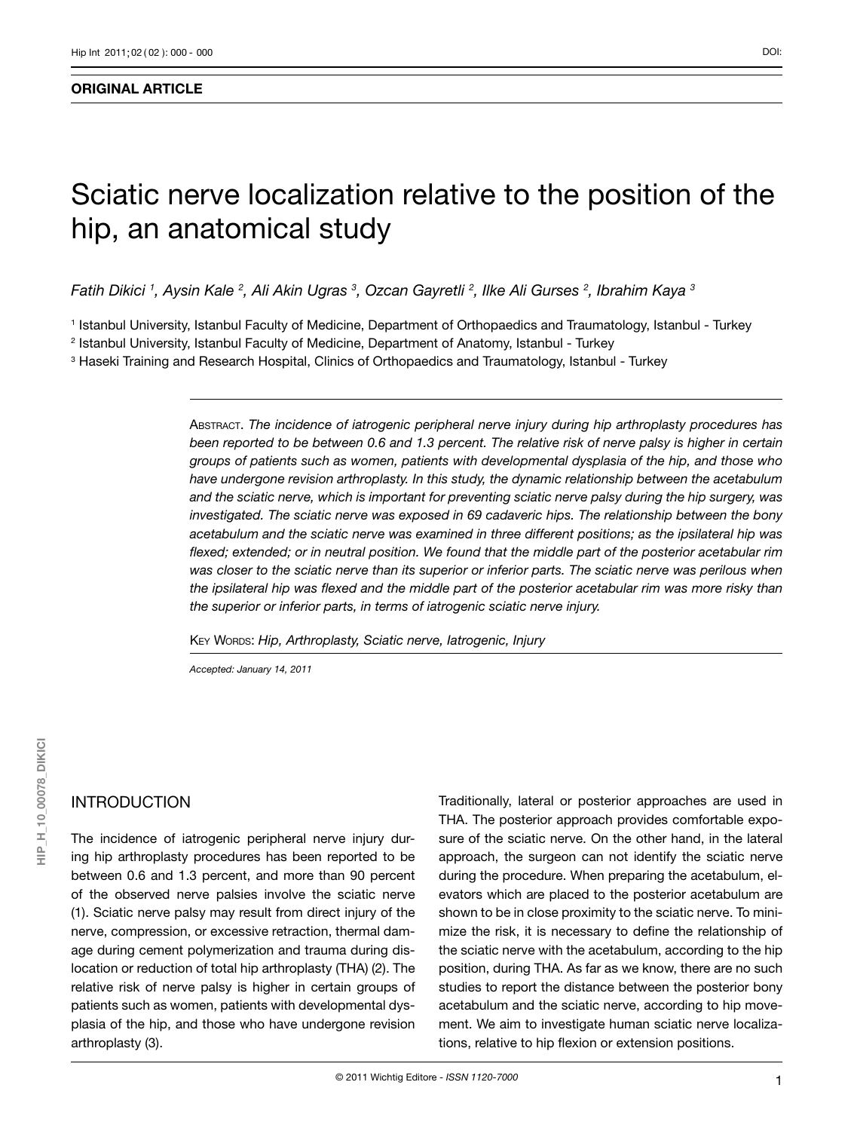#### **ORIGINAL ARTICLE**

# Sciatic nerve localization relative to the position of the hip, an anatomical study

*Fatih Dikici 1 , Aysin Kale 2 , Ali Akin Ugras 3 , Ozcan Gayretli 2 , Ilke Ali Gurses 2 , Ibrahim Kaya 3*

1 Istanbul University, Istanbul Faculty of Medicine, Department of Orthopaedics and Traumatology, Istanbul - Turkey 2 Istanbul University, Istanbul Faculty of Medicine, Department of Anatomy, Istanbul - Turkey

 $^{\rm 3}$  Haseki Training and Research Hospital, Clinics of Orthopaedics and Traumatology, Istanbul - Turkey

Abstract. *The incidence of iatrogenic peripheral nerve injury during hip arthroplasty procedures has been reported to be between 0.6 and 1.3 percent. The relative risk of nerve palsy is higher in certain groups of patients such as women, patients with developmental dysplasia of the hip, and those who have undergone revision arthroplasty. In this study, the dynamic relationship between the acetabulum and the sciatic nerve, which is important for preventing sciatic nerve palsy during the hip surgery, was investigated. The sciatic nerve was exposed in 69 cadaveric hips. The relationship between the bony acetabulum and the sciatic nerve was examined in three different positions; as the ipsilateral hip was flexed; extended; or in neutral position. We found that the middle part of the posterior acetabular rim was closer to the sciatic nerve than its superior or inferior parts. The sciatic nerve was perilous when the ipsilateral hip was flexed and the middle part of the posterior acetabular rim was more risky than the superior or inferior parts, in terms of iatrogenic sciatic nerve injury.* 

Key Words: *Hip, Arthroplasty, Sciatic nerve, Iatrogenic, Injury*

*Accepted: January 14, 2011*

### INTRODUCTION

The incidence of iatrogenic peripheral nerve injury during hip arthroplasty procedures has been reported to be between 0.6 and 1.3 percent, and more than 90 percent of the observed nerve palsies involve the sciatic nerve (1). Sciatic nerve palsy may result from direct injury of the nerve, compression, or excessive retraction, thermal damage during cement polymerization and trauma during dislocation or reduction of total hip arthroplasty (THA) (2). The relative risk of nerve palsy is higher in certain groups of patients such as women, patients with developmental dysplasia of the hip, and those who have undergone revision arthroplasty (3).

Traditionally, lateral or posterior approaches are used in THA. The posterior approach provides comfortable exposure of the sciatic nerve. On the other hand, in the lateral approach, the surgeon can not identify the sciatic nerve during the procedure. When preparing the acetabulum, elevators which are placed to the posterior acetabulum are shown to be in close proximity to the sciatic nerve. To minimize the risk, it is necessary to define the relationship of the sciatic nerve with the acetabulum, according to the hip position, during THA. As far as we know, there are no such studies to report the distance between the posterior bony acetabulum and the sciatic nerve, according to hip movement. We aim to investigate human sciatic nerve localizations, relative to hip flexion or extension positions.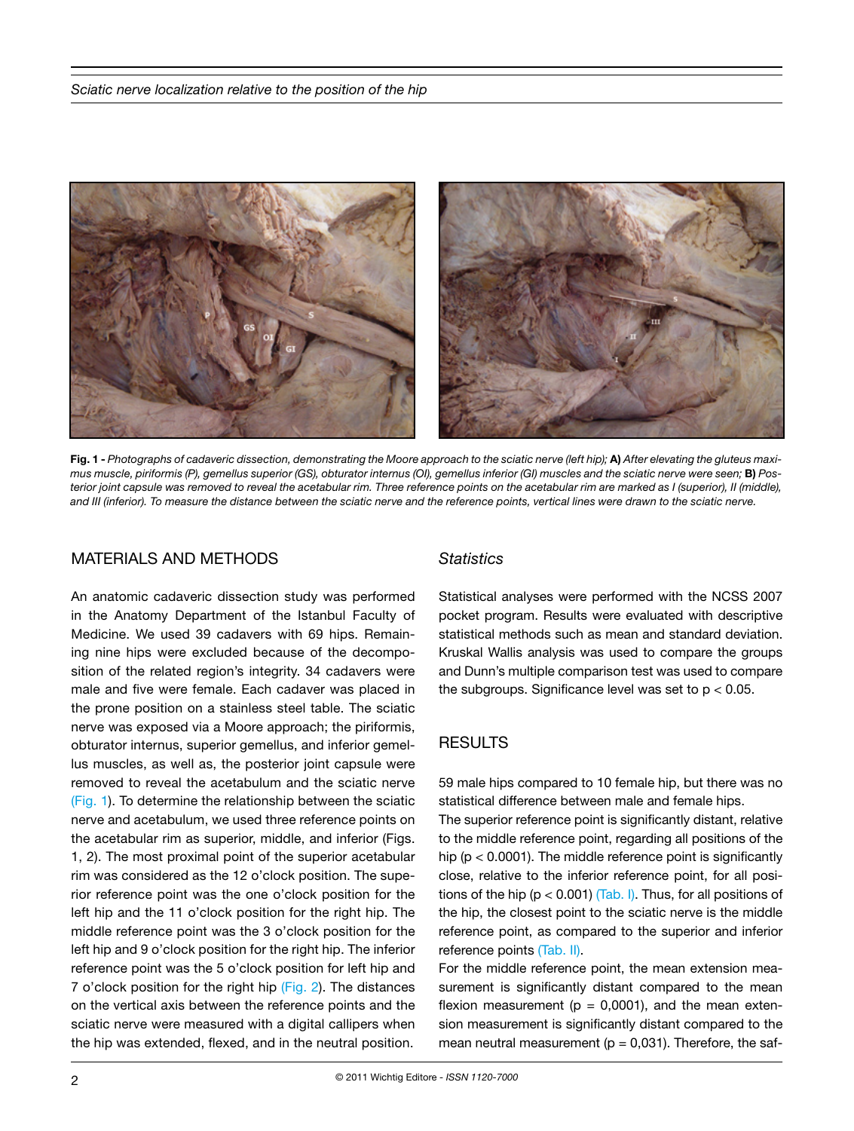

**Fig. 1 -** *Photographs of cadaveric dissection, demonstrating the Moore approach to the sciatic nerve (left hip);* **A)** *After elevating the gluteus maximus muscle, piriformis (P), gemellus superior (GS), obturator internus (OI), gemellus inferior (GI) muscles and the sciatic nerve were seen; B) Posterior joint capsule was removed to reveal the acetabular rim. Three reference points on the acetabular rim are marked as I (superior), II (middle), and III (inferior). To measure the distance between the sciatic nerve and the reference points, vertical lines were drawn to the sciatic nerve.*

#### MATERIALS AND METHODS

An anatomic cadaveric dissection study was performed in the Anatomy Department of the Istanbul Faculty of Medicine. We used 39 cadavers with 69 hips. Remaining nine hips were excluded because of the decomposition of the related region's integrity. 34 cadavers were male and five were female. Each cadaver was placed in the prone position on a stainless steel table. The sciatic nerve was exposed via a Moore approach; the piriformis, obturator internus, superior gemellus, and inferior gemellus muscles, as well as, the posterior joint capsule were removed to reveal the acetabulum and the sciatic nerve (Fig. 1). To determine the relationship between the sciatic nerve and acetabulum, we used three reference points on the acetabular rim as superior, middle, and inferior (Figs. 1, 2). The most proximal point of the superior acetabular rim was considered as the 12 o'clock position. The superior reference point was the one o'clock position for the left hip and the 11 o'clock position for the right hip. The middle reference point was the 3 o'clock position for the left hip and 9 o'clock position for the right hip. The inferior reference point was the 5 o'clock position for left hip and 7 o'clock position for the right hip (Fig. 2). The distances on the vertical axis between the reference points and the sciatic nerve were measured with a digital callipers when the hip was extended, flexed, and in the neutral position.

#### *Statistics*

Statistical analyses were performed with the NCSS 2007 pocket program. Results were evaluated with descriptive statistical methods such as mean and standard deviation. Kruskal Wallis analysis was used to compare the groups and Dunn's multiple comparison test was used to compare the subgroups. Significance level was set to  $p < 0.05$ .

## RESULTS

59 male hips compared to 10 female hip, but there was no statistical difference between male and female hips.

The superior reference point is significantly distant, relative to the middle reference point, regarding all positions of the hip ( $p < 0.0001$ ). The middle reference point is significantly close, relative to the inferior reference point, for all positions of the hip ( $p < 0.001$ ) (Tab. I). Thus, for all positions of the hip, the closest point to the sciatic nerve is the middle reference point, as compared to the superior and inferior reference points (Tab. II).

For the middle reference point, the mean extension measurement is significantly distant compared to the mean flexion measurement ( $p = 0,0001$ ), and the mean extension measurement is significantly distant compared to the mean neutral measurement ( $p = 0.031$ ). Therefore, the saf-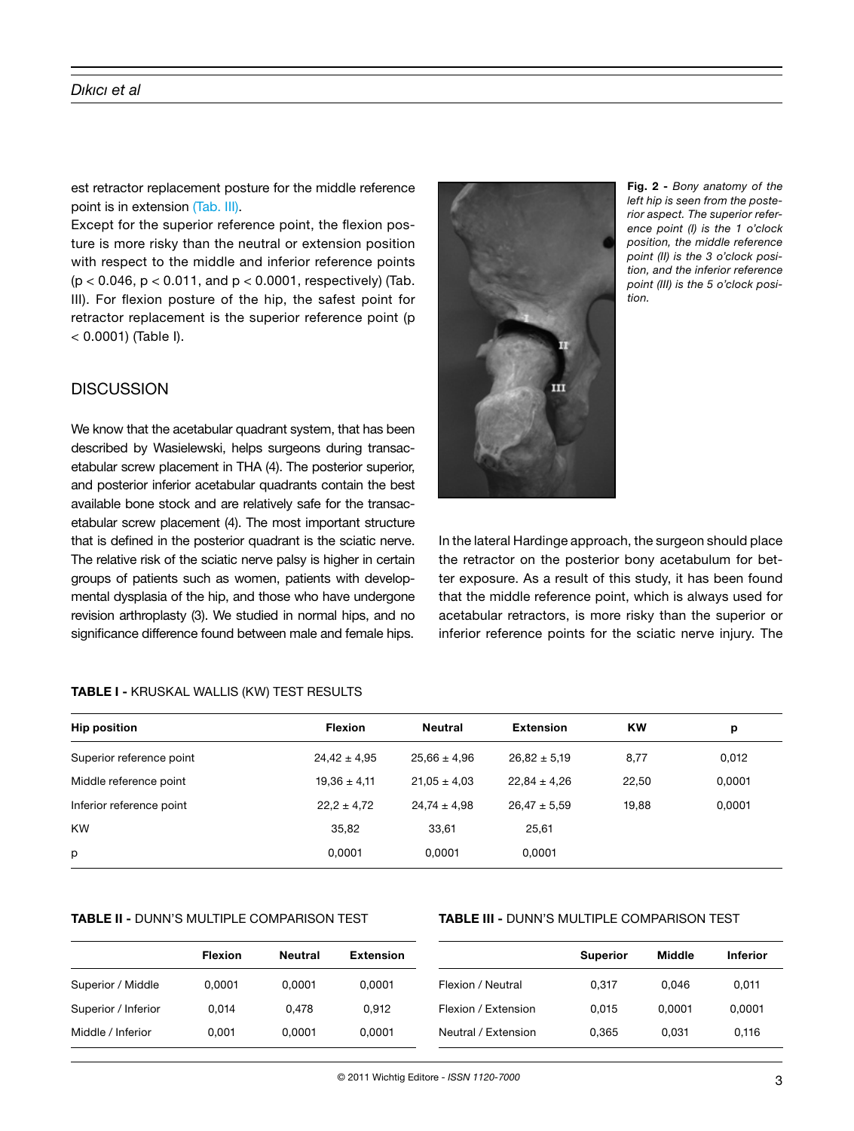#### *Dıkıcı et al*

est retractor replacement posture for the middle reference point is in extension (Tab. III).

Except for the superior reference point, the flexion posture is more risky than the neutral or extension position with respect to the middle and inferior reference points  $(p < 0.046, p < 0.011,$  and  $p < 0.0001$ , respectively) (Tab. III). For flexion posture of the hip, the safest point for retractor replacement is the superior reference point (p < 0.0001) (Table I).

# **DISCUSSION**

We know that the acetabular quadrant system, that has been described by Wasielewski, helps surgeons during transacetabular screw placement in THA (4). The posterior superior, and posterior inferior acetabular quadrants contain the best available bone stock and are relatively safe for the transacetabular screw placement (4). The most important structure that is defined in the posterior quadrant is the sciatic nerve. The relative risk of the sciatic nerve palsy is higher in certain groups of patients such as women, patients with developmental dysplasia of the hip, and those who have undergone revision arthroplasty (3). We studied in normal hips, and no significance difference found between male and female hips.

## **TABLE I -** KRUSKAL WALLIS (KW) TEST RESULTS

|  | п |  |
|--|---|--|

**Fig. 2 -** *Bony anatomy of the left hip is seen from the posterior aspect. The superior reference point (I) is the 1 o'clock position, the middle reference point (II) is the 3 o'clock position, and the inferior reference point (III) is the 5 o'clock position.*

In the lateral Hardinge approach, the surgeon should place the retractor on the posterior bony acetabulum for better exposure. As a result of this study, it has been found that the middle reference point, which is always used for acetabular retractors, is more risky than the superior or inferior reference points for the sciatic nerve injury. The

| <b>Hip position</b>      | <b>Flexion</b>   | Neutral          | Extension        | <b>KW</b> | p      |  |
|--------------------------|------------------|------------------|------------------|-----------|--------|--|
| Superior reference point | $24,42 \pm 4,95$ | $25.66 \pm 4.96$ | $26.82 \pm 5.19$ | 8,77      | 0,012  |  |
| Middle reference point   | $19,36 \pm 4,11$ | $21.05 \pm 4.03$ | $22.84 \pm 4.26$ | 22.50     | 0,0001 |  |
| Inferior reference point | $22.2 \pm 4.72$  | $24.74 \pm 4.98$ | $26.47 \pm 5.59$ | 19.88     | 0,0001 |  |
| <b>KW</b>                | 35,82            | 33,61            | 25,61            |           |        |  |
| р                        | 0.0001           | 0.0001           | 0,0001           |           |        |  |

#### **TABLE II -** DUNN'S MULTIPLE COMPARISON TEST

#### **TABLE III -** DUNN'S MULTIPLE COMPARISON TEST

|                     | <b>Flexion</b> | Neutral | <b>Extension</b> |                     | Superior | <b>Middle</b> | <b>Inferior</b> |
|---------------------|----------------|---------|------------------|---------------------|----------|---------------|-----------------|
| Superior / Middle   | 0.0001         | 0.0001  | 0.0001           | Flexion / Neutral   | 0.317    | 0.046         | 0,011           |
| Superior / Inferior | 0.014          | 0.478   | 0.912            | Flexion / Extension | 0.015    | 0.0001        | 0,0001          |
| Middle / Inferior   | 0.001          | 0.0001  | 0.0001           | Neutral / Extension | 0.365    | 0.031         | 0,116           |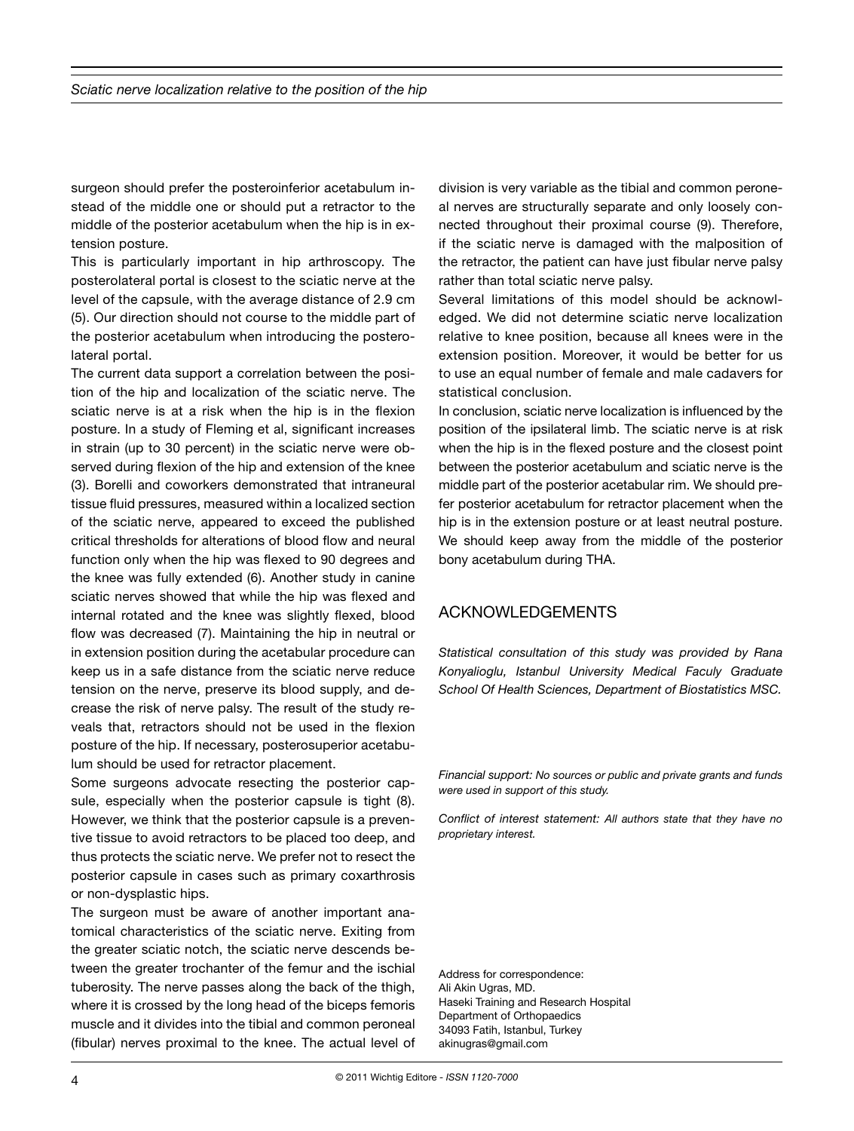surgeon should prefer the posteroinferior acetabulum instead of the middle one or should put a retractor to the middle of the posterior acetabulum when the hip is in extension posture.

This is particularly important in hip arthroscopy. The posterolateral portal is closest to the sciatic nerve at the level of the capsule, with the average distance of 2.9 cm (5). Our direction should not course to the middle part of the posterior acetabulum when introducing the posterolateral portal.

The current data support a correlation between the position of the hip and localization of the sciatic nerve. The sciatic nerve is at a risk when the hip is in the flexion posture. In a study of Fleming et al, significant increases in strain (up to 30 percent) in the sciatic nerve were observed during flexion of the hip and extension of the knee (3). Borelli and coworkers demonstrated that intraneural tissue fluid pressures, measured within a localized section of the sciatic nerve, appeared to exceed the published critical thresholds for alterations of blood flow and neural function only when the hip was flexed to 90 degrees and the knee was fully extended (6). Another study in canine sciatic nerves showed that while the hip was flexed and internal rotated and the knee was slightly flexed, blood flow was decreased (7). Maintaining the hip in neutral or in extension position during the acetabular procedure can keep us in a safe distance from the sciatic nerve reduce tension on the nerve, preserve its blood supply, and decrease the risk of nerve palsy. The result of the study reveals that, retractors should not be used in the flexion posture of the hip. If necessary, posterosuperior acetabulum should be used for retractor placement.

Some surgeons advocate resecting the posterior capsule, especially when the posterior capsule is tight (8). However, we think that the posterior capsule is a preventive tissue to avoid retractors to be placed too deep, and thus protects the sciatic nerve. We prefer not to resect the posterior capsule in cases such as primary coxarthrosis or non-dysplastic hips.

The surgeon must be aware of another important anatomical characteristics of the sciatic nerve. Exiting from the greater sciatic notch, the sciatic nerve descends between the greater trochanter of the femur and the ischial tuberosity. The nerve passes along the back of the thigh, where it is crossed by the long head of the biceps femoris muscle and it divides into the tibial and common peroneal (fibular) nerves proximal to the knee. The actual level of division is very variable as the tibial and common peroneal nerves are structurally separate and only loosely connected throughout their proximal course (9). Therefore, if the sciatic nerve is damaged with the malposition of the retractor, the patient can have just fibular nerve palsy rather than total sciatic nerve palsy.

Several limitations of this model should be acknowledged. We did not determine sciatic nerve localization relative to knee position, because all knees were in the extension position. Moreover, it would be better for us to use an equal number of female and male cadavers for statistical conclusion.

In conclusion, sciatic nerve localization is influenced by the position of the ipsilateral limb. The sciatic nerve is at risk when the hip is in the flexed posture and the closest point between the posterior acetabulum and sciatic nerve is the middle part of the posterior acetabular rim. We should prefer posterior acetabulum for retractor placement when the hip is in the extension posture or at least neutral posture. We should keep away from the middle of the posterior bony acetabulum during THA.

## ACKNOWLEDGEMENTS

*Statistical consultation of this study was provided by Rana Konyalioglu, Istanbul University Medical Faculy Graduate School Of Health Sciences, Department of Biostatistics MSC.*

*Financial support: No sources or public and private grants and funds were used in support of this study.*

*Conflict of interest statement: All authors state that they have no proprietary interest.*

Address for correspondence: Ali Akin Ugras, MD. Haseki Training and Research Hospital Department of Orthopaedics 34093 Fatih, Istanbul, Turkey akinugras@gmail.com